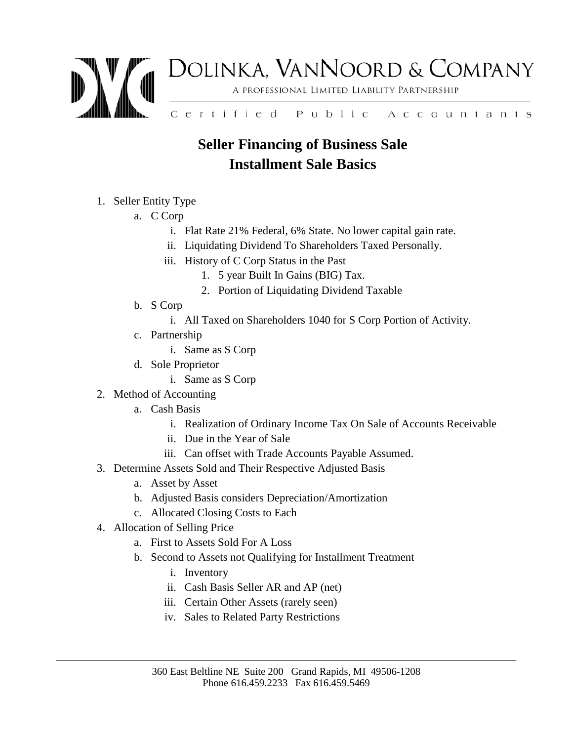

## **Seller Financing of Business Sale Installment Sale Basics**

## 1. Seller Entity Type

- a. C Corp
	- i. Flat Rate 21% Federal, 6% State. No lower capital gain rate.
	- ii. Liquidating Dividend To Shareholders Taxed Personally.
	- iii. History of C Corp Status in the Past
		- 1. 5 year Built In Gains (BIG) Tax.
		- 2. Portion of Liquidating Dividend Taxable
- b. S Corp
	- i. All Taxed on Shareholders 1040 for S Corp Portion of Activity.
- c. Partnership
	- i. Same as S Corp
- d. Sole Proprietor
	- i. Same as S Corp
- 2. Method of Accounting
	- a. Cash Basis
		- i. Realization of Ordinary Income Tax On Sale of Accounts Receivable
		- ii. Due in the Year of Sale
		- iii. Can offset with Trade Accounts Payable Assumed.
- 3. Determine Assets Sold and Their Respective Adjusted Basis
	- a. Asset by Asset
	- b. Adjusted Basis considers Depreciation/Amortization
	- c. Allocated Closing Costs to Each
- 4. Allocation of Selling Price
	- a. First to Assets Sold For A Loss
	- b. Second to Assets not Qualifying for Installment Treatment
		- i. Inventory
		- ii. Cash Basis Seller AR and AP (net)
		- iii. Certain Other Assets (rarely seen)
		- iv. Sales to Related Party Restrictions